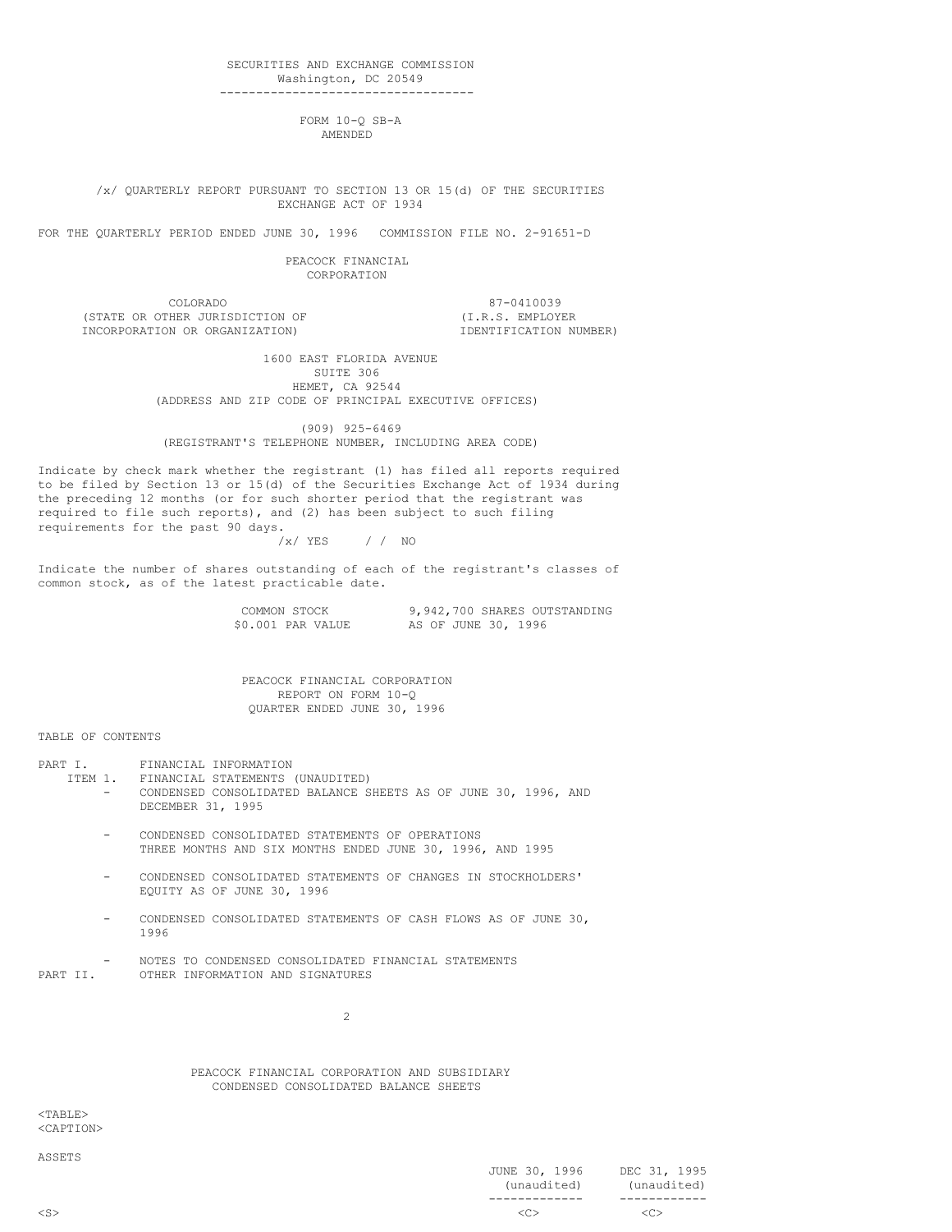## SECURITIES AND EXCHANGE COMMISSION Washington, DC 20549

-----------------------------------

### FORM 10-Q SB-A AMENDED

### /x/ QUARTERLY REPORT PURSUANT TO SECTION 13 OR 15(d) OF THE SECURITIES EXCHANGE ACT OF 1934

FOR THE QUARTERLY PERIOD ENDED JUNE 30, 1996 COMMISSION FILE NO. 2-91651-D

PEACOCK FINANCIAL CORPORATION

COLORADO 87-0410039<br>HER JURISDICTION OF (I.R.S. EMPLOYER) (STATE OR OTHER JURISDICTION OF (I.R.S. EMPLOYER INCORPORATION OR ORGANIZATION)

1600 EAST FLORIDA AVENUE SUITE 306 HEMET, CA 92544 (ADDRESS AND ZIP CODE OF PRINCIPAL EXECUTIVE OFFICES)

(909) 925-6469 (REGISTRANT'S TELEPHONE NUMBER, INCLUDING AREA CODE)

Indicate by check mark whether the registrant (1) has filed all reports required to be filed by Section 13 or 15(d) of the Securities Exchange Act of 1934 during the preceding 12 months (or for such shorter period that the registrant was required to file such reports), and (2) has been subject to such filing requirements for the past 90 days.

/x/ YES / / NO

Indicate the number of shares outstanding of each of the registrant's classes of common stock, as of the latest practicable date.

> COMMON STOCK 9,942,700 SHARES OUTSTANDING<br>\$0.001 PAR VALUE AS OF JUNE 30, 1996 AS OF JUNE 30, 1996

PEACOCK FINANCIAL CORPORATION REPORT ON FORM 10-Q QUARTER ENDED JUNE 30, 1996

### TABLE OF CONTENTS

PART I. FINANCIAL INFORMATION

- ITEM 1. FINANCIAL STATEMENTS (UNAUDITED)
	- CONDENSED CONSOLIDATED BALANCE SHEETS AS OF JUNE 30, 1996, AND DECEMBER 31, 1995
		- CONDENSED CONSOLIDATED STATEMENTS OF OPERATIONS THREE MONTHS AND SIX MONTHS ENDED JUNE 30, 1996, AND 1995
		- CONDENSED CONSOLIDATED STATEMENTS OF CHANGES IN STOCKHOLDERS' EQUITY AS OF JUNE 30, 1996
		- CONDENSED CONSOLIDATED STATEMENTS OF CASH FLOWS AS OF JUNE 30, 1996
- NOTES TO CONDENSED CONSOLIDATED FINANCIAL STATEMENTS<br>PART II. OTHER INFORMATION AND SIGNATURES OTHER INFORMATION AND SIGNATURES

2

PEACOCK FINANCIAL CORPORATION AND SUBSIDIARY CONDENSED CONSOLIDATED BALANCE SHEETS

 $<$ TABLE> <CAPTION>

ASSETS

|        | (unaudited) | JUNE 30, 1996 DEC 31, 1995<br>(unaudited) |
|--------|-------------|-------------------------------------------|
|        |             |                                           |
| $<$ S> |             | $\langle$ ( $\rangle$ $>$                 |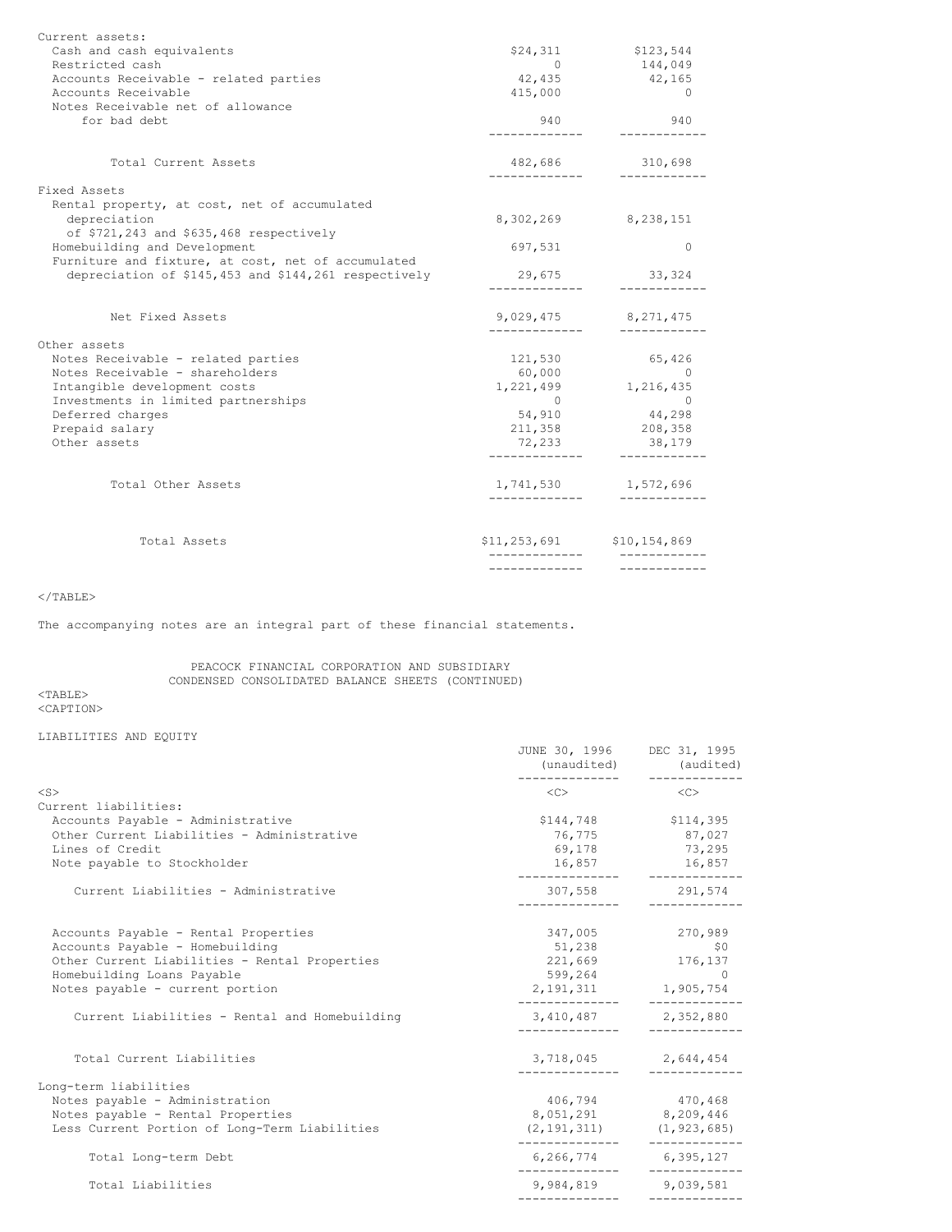|                                                                                                            | -------------                   | ------------                        |
|------------------------------------------------------------------------------------------------------------|---------------------------------|-------------------------------------|
| Total Assets                                                                                               | $$11, 253, 691$ $$10, 154, 869$ |                                     |
| Total Other Assets                                                                                         |                                 | 1,741,530 1,572,696                 |
| Other assets                                                                                               | 72,233                          | 38,179                              |
| Prepaid salary                                                                                             | 211,358                         | 208,358                             |
| Deferred charges                                                                                           | 54,910                          | 44,298                              |
| Intangible development costs<br>Investments in limited partnerships                                        | 1,221,499<br>$\sim$ 0           | 1,216,435<br>$\overline{0}$         |
| Notes Receivable - shareholders                                                                            | 60,000                          | $\sim$ 0                            |
| Notes Receivable - related parties                                                                         | 121,530                         | 65,426                              |
| Other assets                                                                                               |                                 |                                     |
| Net Fixed Assets                                                                                           | --------------                  | 9,029,475 8,271,475<br>------------ |
|                                                                                                            |                                 |                                     |
| Furniture and fixture, at cost, net of accumulated<br>depreciation of \$145,453 and \$144,261 respectively | 29,675                          | 33,324                              |
| Homebuilding and Development                                                                               | 697,531                         | $\Omega$                            |
| of \$721,243 and \$635,468 respectively                                                                    |                                 |                                     |
| depreciation                                                                                               |                                 | 8,302,269 8,238,151                 |
| Fixed Assets<br>Rental property, at cost, net of accumulated                                               |                                 |                                     |
|                                                                                                            | .                               |                                     |
| Total Current Assets                                                                                       | 482,686                         | 310,698                             |
| for bad debt                                                                                               | 940                             | 940                                 |
| Notes Receivable net of allowance                                                                          |                                 |                                     |
| Accounts Receivable                                                                                        | 415,000                         | 0                                   |
| Accounts Receivable - related parties                                                                      | 42,435                          | 42,165                              |
| Restricted cash                                                                                            | $\overline{0}$                  | 144,049                             |
| Cash and cash equivalents                                                                                  |                                 | \$24,311 \$123,544                  |
| Current assets:                                                                                            |                                 |                                     |

The accompanying notes are an integral part of these financial statements.

PEACOCK FINANCIAL CORPORATION AND SUBSIDIARY CONDENSED CONSOLIDATED BALANCE SHEETS (CONTINUED)

### $<$ TABLE $>$ <CAPTION>

# LIABILITIES AND EQUITY

|                                               | JUNE 30, 1996 DEC 31, 1995      | (unaudited) (audited) |
|-----------------------------------------------|---------------------------------|-----------------------|
| $<$ S>                                        | $<\infty$                       | $<<$ $>>$             |
| Current liabilities:                          |                                 |                       |
| Accounts Payable - Administrative             |                                 | \$144,748 \$114,395   |
| Other Current Liabilities - Administrative    |                                 | 76,775 87,027         |
| Lines of Credit                               | 69,178                          | 73,295                |
| Note payable to Stockholder                   |                                 | 16,857 16,857         |
| Current Liabilities - Administrative          |                                 | 307,558 291,574       |
|                                               |                                 |                       |
| Accounts Payable - Rental Properties          |                                 | 347,005 270,989       |
| Accounts Payable - Homebuilding               |                                 | $51,238$ \$0          |
| Other Current Liabilities - Rental Properties | 221,669 176,137<br>599.264 0    |                       |
| Homebuilding Loans Payable                    |                                 |                       |
| Notes payable - current portion               | 2, 191, 311 1, 905, 754         |                       |
| Current Liabilities - Rental and Homebuilding | 3, 410, 487 2, 352, 880         |                       |
| Total Current Liabilities                     | 3,718,045 2,644,454             |                       |
| Long-term liabilities                         |                                 |                       |
| Notes payable - Administration                |                                 | 406,794 470,468       |
| Notes payable - Rental Properties             | 8,051,291 8,209,446             |                       |
| Less Current Portion of Long-Term Liabilities | $(2, 191, 311)$ $(1, 923, 685)$ |                       |
| Total Long-term Debt                          | 6,266,774 6,395,127             |                       |
| Total Liabilities                             |                                 | 9,984,819 9,039,581   |

-------------- -------------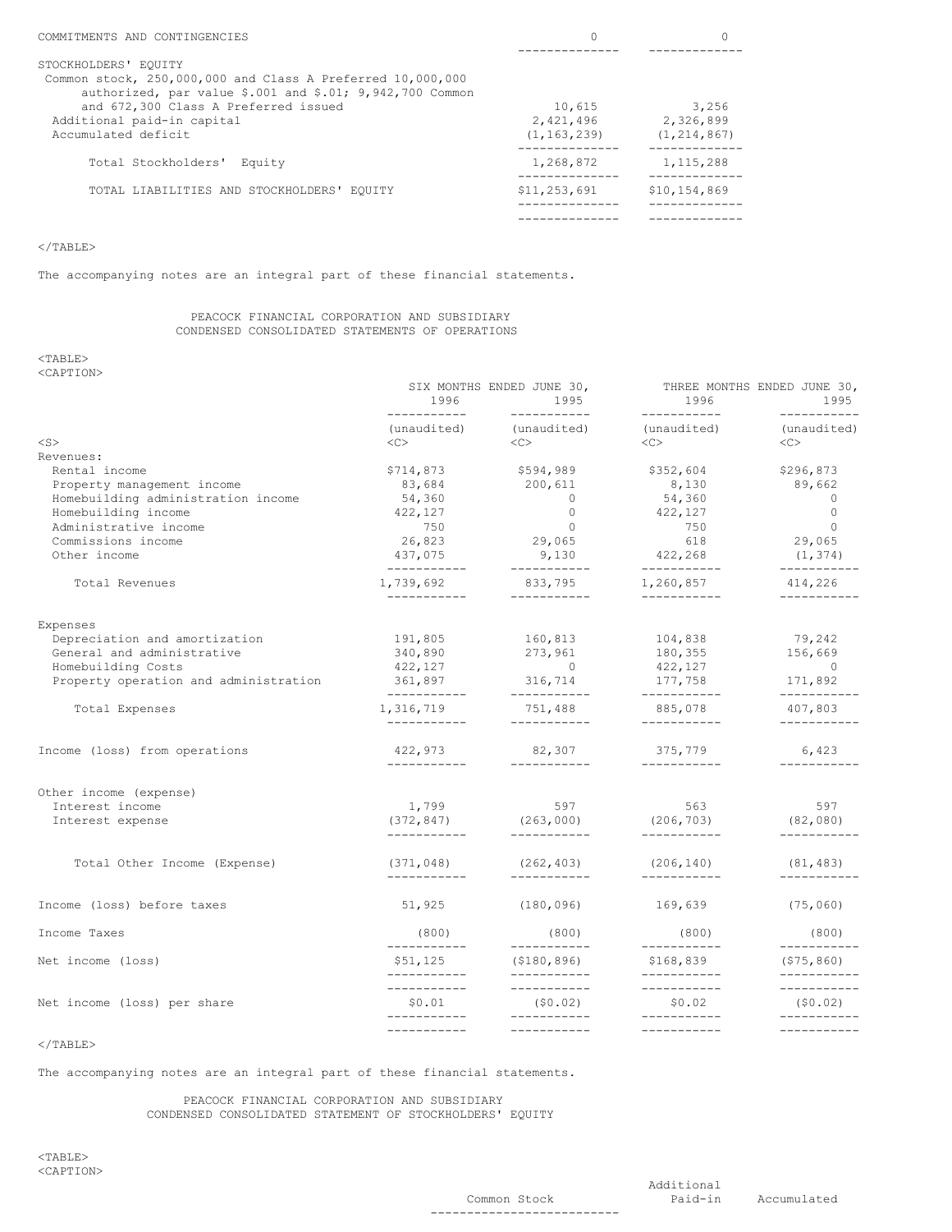| TOTAL LIABILITIES AND STOCKHOLDERS' EOUITY                                                                                                                                                                                                  | \$11,253,691                         | \$10,154,869                        |
|---------------------------------------------------------------------------------------------------------------------------------------------------------------------------------------------------------------------------------------------|--------------------------------------|-------------------------------------|
| Total Stockholders' Equity                                                                                                                                                                                                                  | 1,268,872                            | 1, 115, 288                         |
| STOCKHOLDERS' EQUITY<br>Common stock, 250,000,000 and Class A Preferred 10,000,000<br>authorized, par value \$.001 and \$.01; 9,942,700 Common<br>and 672,300 Class A Preferred issued<br>Additional paid-in capital<br>Accumulated deficit | 10,615<br>2,421,496<br>(1, 163, 239) | 3,256<br>2,326,899<br>(1, 214, 867) |
| COMMITMENTS AND CONTINGENCIES                                                                                                                                                                                                               |                                      |                                     |

The accompanying notes are an integral part of these financial statements.

### PEACOCK FINANCIAL CORPORATION AND SUBSIDIARY CONDENSED CONSOLIDATED STATEMENTS OF OPERATIONS

#### <TABLE> <CAPTION>

|                                       | SIX MONTHS ENDED JUNE 30,<br>1996<br>1995<br>------------<br>____________ |                              | 1996<br>___________                                    | THREE MONTHS ENDED JUNE 30,<br>1995<br>----------- |
|---------------------------------------|---------------------------------------------------------------------------|------------------------------|--------------------------------------------------------|----------------------------------------------------|
|                                       | (unaudited)                                                               | (unaudited)                  | (unaudited)                                            | (unaudited)                                        |
| $<$ S $>$                             | <<>                                                                       | <<                           | $<\infty$                                              | $<\infty$                                          |
| Revenues:                             |                                                                           |                              |                                                        |                                                    |
| Rental income                         | \$714,873                                                                 | \$594,989                    | \$352,604                                              | \$296,873                                          |
| Property management income            | 83,684                                                                    | 200,611                      | 8,130                                                  | 89,662                                             |
| Homebuilding administration income    | 54,360                                                                    | $\circ$                      | 54,360                                                 | $\circ$                                            |
| Homebuilding income                   | 422,127                                                                   | $\circ$                      | 422,127                                                | $\mathbf{0}$                                       |
| Administrative income                 | 750                                                                       | $\Omega$                     | 750                                                    | $\Omega$                                           |
| Commissions income                    | 26,823                                                                    | 29,065                       | 618                                                    | 29,065                                             |
| Other income                          | 437,075<br>------------                                                   | 9,130<br>____________        | 422,268<br>-----------                                 | (1, 374)<br>-----------                            |
| Total Revenues                        | 1,739,692<br>------------                                                 | 833,795<br>____________      | 1,260,857<br>___________                               | 414,226<br>------------                            |
| Expenses                              |                                                                           |                              |                                                        |                                                    |
| Depreciation and amortization         | 191,805                                                                   | 160,813                      | 104,838                                                | 79,242                                             |
| General and administrative            | 340,890                                                                   | 273,961                      | 180, 355                                               | 156,669                                            |
| Homebuilding Costs                    | 422,127                                                                   | $\sim$ 0                     | 422,127                                                | $\overline{0}$                                     |
| Property operation and administration | 361,897 316,714                                                           |                              | 177,758                                                | 171,892                                            |
|                                       | ------------                                                              | ------------                 | ___________                                            | -----------                                        |
| Total Expenses                        | 1,316,719<br>___________                                                  | 751,488<br>___________       | 885,078<br>___________                                 | 407,803<br>------------                            |
| Income (loss) from operations         | 422,973<br>-----------                                                    | 82,307<br>___________        | 375,779<br>------------                                | 6,423                                              |
| Other income (expense)                |                                                                           |                              |                                                        |                                                    |
| Interest income                       | 1,799                                                                     | 597                          | 563                                                    | 597                                                |
| Interest expense                      | -----------                                                               | ------------                 | $(372, 847)$ $(263, 000)$ $(206, 703)$<br>------------ | (82,080)<br>-----------                            |
| Total Other Income (Expense)          | (371, 048)<br>-----------                                                 | (262, 403)<br>___________    | (206, 140)<br>___________                              | (81, 483)                                          |
| Income (loss) before taxes            | 51,925                                                                    | (180, 096)                   | 169,639                                                | (75, 060)                                          |
| Income Taxes                          | (800)                                                                     | (800)                        | (800)                                                  | (800)                                              |
| Net income (loss)                     | -----------<br>\$51,125                                                   | ____________<br>(\$180,896)  | ___________<br>\$168,839                               | -----------<br>(\$75,860)                          |
|                                       | ___________<br>___________                                                | ------------<br>------------ | ___________<br>___________                             | ___________                                        |
| Net income (loss) per share           | \$0.01<br>-----------                                                     | (50.02)<br>___________       | \$0.02<br>___________                                  | (50.02)<br>-----------                             |
|                                       | -----------                                                               | -----------                  | -----------                                            | -----------                                        |

### $<$ /TABLE $>$

The accompanying notes are an integral part of these financial statements.

PEACOCK FINANCIAL CORPORATION AND SUBSIDIARY CONDENSED CONSOLIDATED STATEMENT OF STOCKHOLDERS' EQUITY

--------------------------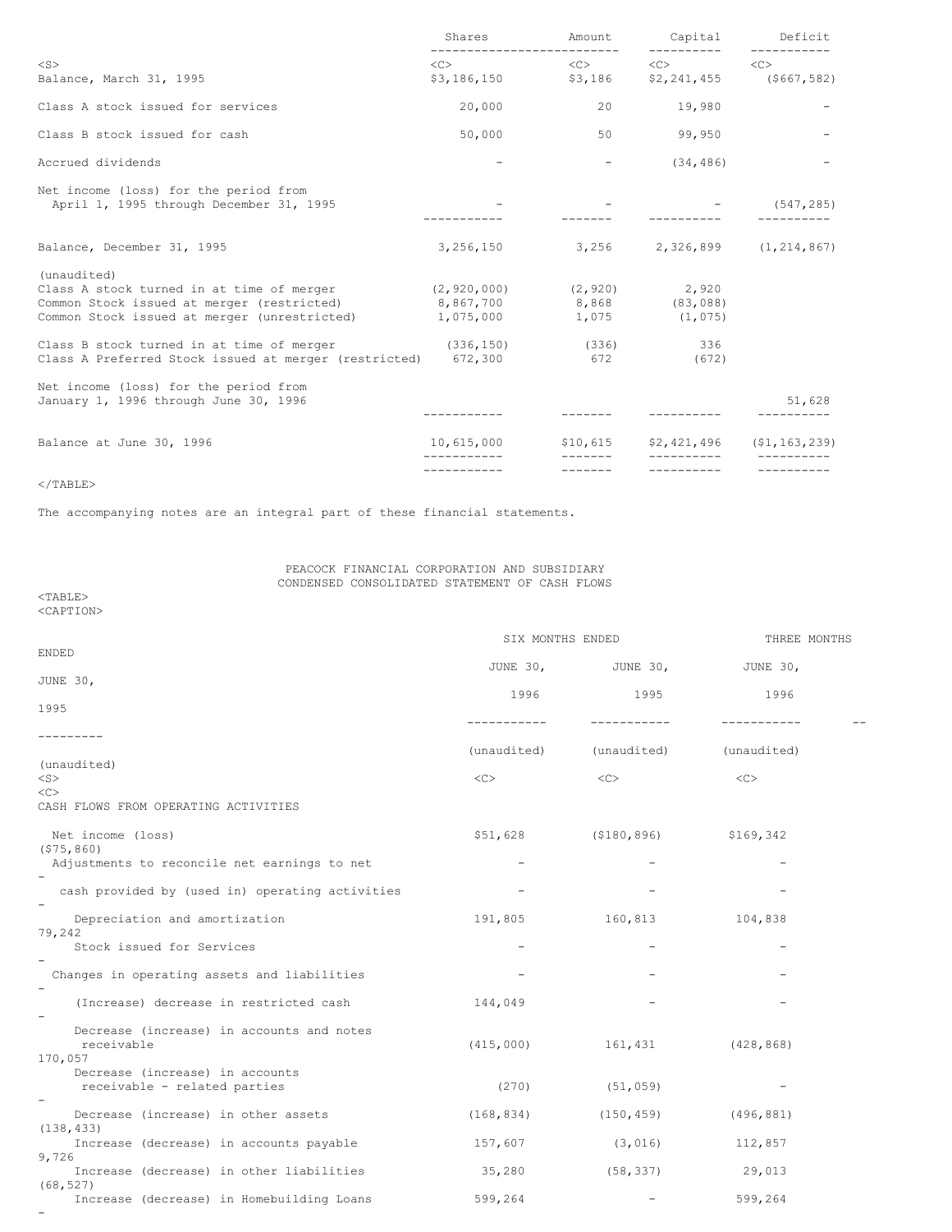|                                                                                                                                                        | Shares<br>____________                                 | Amount                    | Capital                            | Deficit                                |
|--------------------------------------------------------------------------------------------------------------------------------------------------------|--------------------------------------------------------|---------------------------|------------------------------------|----------------------------------------|
| $<$ S $>$<br>Balance, March 31, 1995                                                                                                                   | $\langle C \rangle$<br>\$3,186,150                     | < <c><br/>\$3,186</c>     | $\langle C \rangle$<br>\$2,241,455 | < <c><br/><math>(</math>\$667,582)</c> |
| Class A stock issued for services                                                                                                                      | 20,000                                                 | 20                        | 19,980                             |                                        |
| Class B stock issued for cash                                                                                                                          | 50,000                                                 | 50                        | 99,950                             |                                        |
| Accrued dividends                                                                                                                                      |                                                        |                           | (34, 486)                          |                                        |
| Net income (loss) for the period from<br>April 1, 1995 through December 31, 1995                                                                       |                                                        |                           |                                    | (547, 285)                             |
| Balance, December 31, 1995                                                                                                                             | 3,256,150                                              |                           | 3,256 2,326,899                    | (1, 214, 867)                          |
| (unaudited)<br>Class A stock turned in at time of merger<br>Common Stock issued at merger (restricted)<br>Common Stock issued at merger (unrestricted) | (2, 920, 000)<br>8,867,700 8,868 (83,088)<br>1,075,000 | $(2, 920)$ 2,920<br>1,075 | (1, 075)                           |                                        |
| Class B stock turned in at time of merger<br>Class A Preferred Stock issued at merger (restricted) 672,300                                             | (336, 150)                                             | (336)<br>672              | 336<br>(672)                       |                                        |
| Net income (loss) for the period from<br>January 1, 1996 through June 30, 1996                                                                         |                                                        |                           |                                    | 51,628                                 |
| Balance at June 30, 1996                                                                                                                               | 10,615,000                                             | \$10,615                  | \$2,421,496                        | (51, 163, 239)                         |
|                                                                                                                                                        | ------------<br>-----------                            |                           | ----------                         | ----------                             |

The accompanying notes are an integral part of these financial statements.

PEACOCK FINANCIAL CORPORATION AND SUBSIDIARY CONDENSED CONSOLIDATED STATEMENT OF CASH FLOWS

<TABLE> <CAPTION>

|                                                                            | SIX MONTHS ENDED |                            | THREE MONTHS |  |
|----------------------------------------------------------------------------|------------------|----------------------------|--------------|--|
| <b>ENDED</b>                                                               |                  | JUNE 30, JUNE 30, JUNE 30, |              |  |
| JUNE 30,                                                                   | 1996             | 1995                       | 1996         |  |
| 1995                                                                       |                  |                            |              |  |
| --------                                                                   |                  |                            |              |  |
|                                                                            | (unaudited)      | (unaudited)                | (unaudited)  |  |
| (unaudited)<br>$<$ S $>$<br><<                                             | $<<$ $>$         | $<\infty$                  | <<           |  |
| CASH FLOWS FROM OPERATING ACTIVITIES                                       |                  |                            |              |  |
| Net income (loss)<br>(575, 860)                                            | \$51,628         | $(5180, 896)$ $5169, 342$  |              |  |
| Adjustments to reconcile net earnings to net                               |                  |                            |              |  |
| cash provided by (used in) operating activities                            |                  |                            |              |  |
| Depreciation and amortization<br>79,242                                    | 191,805          | 160,813                    | 104,838      |  |
| Stock issued for Services                                                  |                  | $\overline{\phantom{a}}$   |              |  |
| Changes in operating assets and liabilities                                |                  |                            |              |  |
| (Increase) decrease in restricted cash<br>$\overline{\phantom{a}}$         | 144,049          |                            |              |  |
| Decrease (increase) in accounts and notes<br>receivable                    | (415,000)        | 161,431                    | (428, 868)   |  |
| 170,057<br>Decrease (increase) in accounts<br>receivable - related parties | (270)            | (51, 059)                  |              |  |
| Decrease (increase) in other assets<br>(138, 433)                          | (168, 834)       | (150, 459)                 | (496, 881)   |  |
| Increase (decrease) in accounts payable<br>9,726                           | 157,607          | (3, 016)                   | 112,857      |  |
| Increase (decrease) in other liabilities<br>(68, 527)                      | 35,280           | (58, 337)                  | 29,013       |  |
| Increase (decrease) in Homebuilding Loans                                  | 599,264          |                            | 599,264      |  |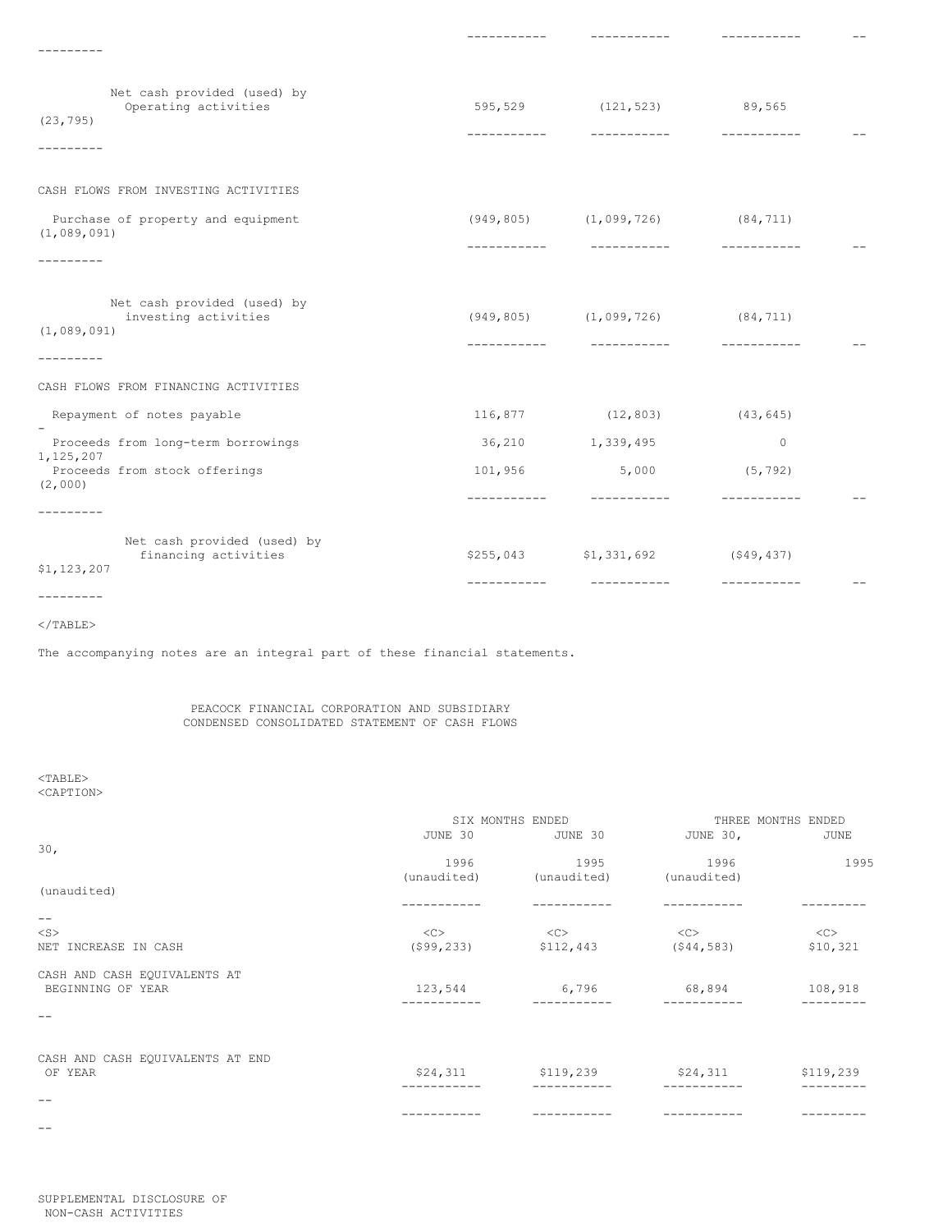|                                                                    | ----------- | -----------                                        | ----------- |  |
|--------------------------------------------------------------------|-------------|----------------------------------------------------|-------------|--|
|                                                                    |             |                                                    |             |  |
| Net cash provided (used) by<br>Operating activities<br>(23, 795)   | 595,529     | (121, 523)                                         | 89,565      |  |
| CASH FLOWS FROM INVESTING ACTIVITIES                               |             |                                                    |             |  |
| Purchase of property and equipment<br>(1,089,091)                  |             | $(949, 805)$ $(1, 099, 726)$ $(84, 711)$           |             |  |
| ---------                                                          |             |                                                    |             |  |
| Net cash provided (used) by<br>investing activities<br>(1,089,091) |             | $(949, 805)$ $(1, 099, 726)$ $(84, 711)$           |             |  |
| CASH FLOWS FROM FINANCING ACTIVITIES                               |             |                                                    |             |  |
| Repayment of notes payable                                         | 116,877     | $(12, 803)$ $(43, 645)$                            |             |  |
| Proceeds from long-term borrowings<br>1, 125, 207                  | 36,210      | 1,339,495                                          | $\circ$     |  |
| Proceeds from stock offerings<br>(2,000)                           | 101,956     | 5,000                                              | (5, 792)    |  |
| --------                                                           |             | -----------                                        |             |  |
| Net cash provided (used) by<br>financing activities<br>\$1,123,207 | ----------- | $$255,043$ $$1,331,692$ $($49,437)$<br>----------- |             |  |
| ---------                                                          |             |                                                    |             |  |

The accompanying notes are an integral part of these financial statements.

PEACOCK FINANCIAL CORPORATION AND SUBSIDIARY CONDENSED CONSOLIDATED STATEMENT OF CASH FLOWS

 $<sub>TABLE></sub>$ </sub> <CAPTION>

|                                  |             | SIX MONTHS ENDED | THREE MONTHS ENDED |             |  |
|----------------------------------|-------------|------------------|--------------------|-------------|--|
|                                  | JUNE 30     | JUNE 30          | JUNE 30,           | <b>JUNE</b> |  |
| 30 <sub>1</sub>                  |             |                  |                    |             |  |
|                                  | 1996        | 1995             | 1996               | 1995        |  |
|                                  | (unaudited) | (unaudited)      | (unaudited)        |             |  |
| (unaudited)                      |             |                  |                    |             |  |
|                                  |             |                  |                    |             |  |
| $ -$                             |             |                  |                    |             |  |
| $<$ S $>$                        | <<          | $<<$ C $>$       | <<                 | <<          |  |
| NET INCREASE IN CASH             | (599, 233)  | \$112,443        | (544, 583)         | \$10,321    |  |
|                                  |             |                  |                    |             |  |
| CASH AND CASH EQUIVALENTS AT     |             |                  |                    |             |  |
| BEGINNING OF YEAR                | 123,544     | 6,796            | 68,894             | 108,918     |  |
|                                  |             |                  |                    |             |  |
|                                  |             |                  |                    |             |  |
|                                  |             |                  |                    |             |  |
|                                  |             |                  |                    |             |  |
| CASH AND CASH EQUIVALENTS AT END |             |                  |                    |             |  |
| OF YEAR                          | \$24,311    | \$119,239        | \$24,311           | \$119,239   |  |
|                                  |             |                  |                    |             |  |
|                                  |             |                  |                    |             |  |
| $- -$                            |             |                  |                    |             |  |
|                                  |             |                  |                    |             |  |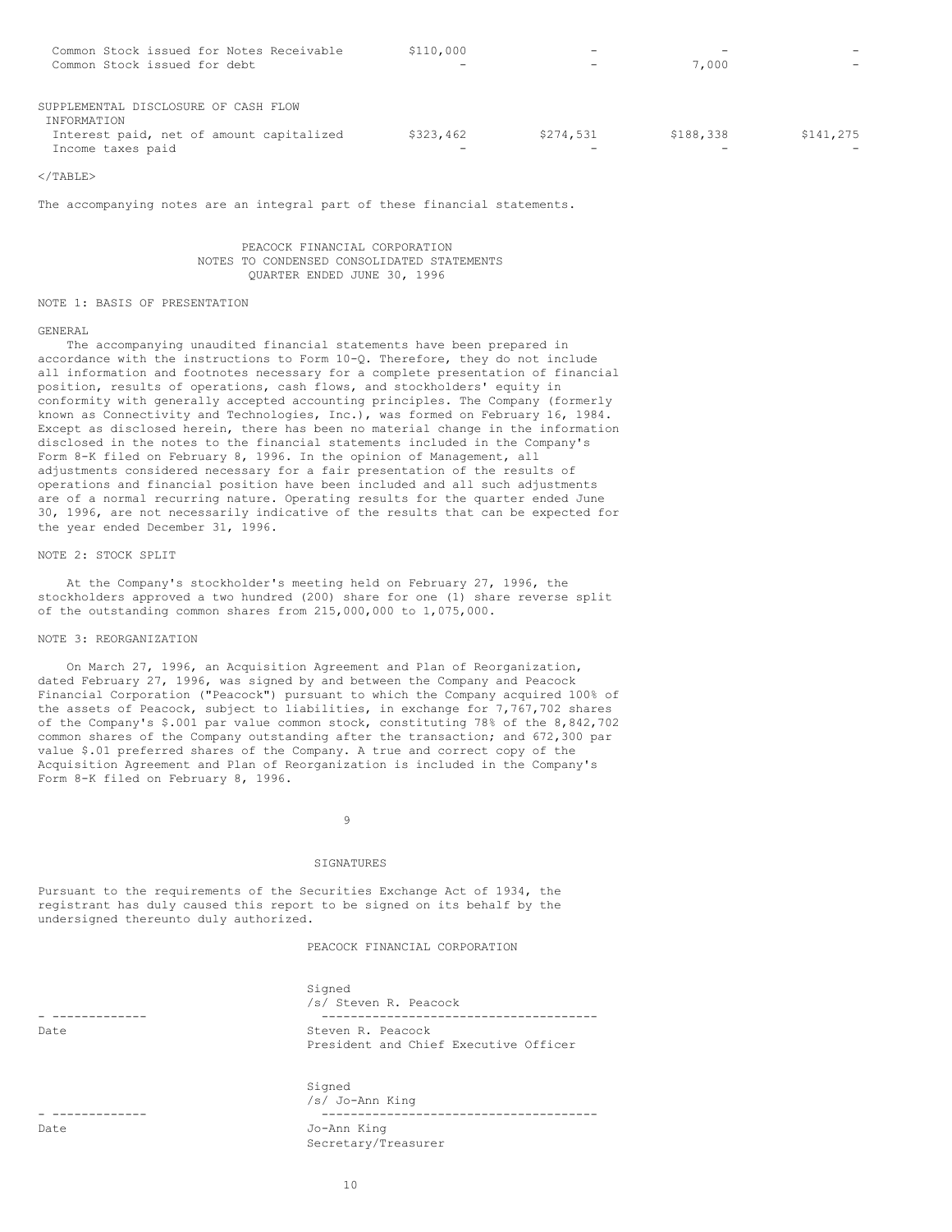| Common Stock issued for Notes Receivable<br>Common Stock issued for debt                                             | \$110,000<br>$\overline{\phantom{0}}$ | $\overline{\phantom{0}}$<br>$\overline{\phantom{0}}$ | 7,000     |           |
|----------------------------------------------------------------------------------------------------------------------|---------------------------------------|------------------------------------------------------|-----------|-----------|
| SUPPLEMENTAL DISCLOSURE OF CASH FLOW<br>INFORMATION<br>Interest paid, net of amount capitalized<br>Income taxes paid | \$323,462                             | \$274,531                                            | \$188,338 | \$141,275 |

The accompanying notes are an integral part of these financial statements.

### PEACOCK FINANCIAL CORPORATION NOTES TO CONDENSED CONSOLIDATED STATEMENTS QUARTER ENDED JUNE 30, 1996

#### NOTE 1: BASIS OF PRESENTATION

#### GENERAL

The accompanying unaudited financial statements have been prepared in accordance with the instructions to Form 10-Q. Therefore, they do not include all information and footnotes necessary for a complete presentation of financial position, results of operations, cash flows, and stockholders' equity in conformity with generally accepted accounting principles. The Company (formerly known as Connectivity and Technologies, Inc.), was formed on February 16, 1984. Except as disclosed herein, there has been no material change in the information disclosed in the notes to the financial statements included in the Company's Form 8-K filed on February 8, 1996. In the opinion of Management, all adjustments considered necessary for a fair presentation of the results of operations and financial position have been included and all such adjustments are of a normal recurring nature. Operating results for the quarter ended June 30, 1996, are not necessarily indicative of the results that can be expected for the year ended December 31, 1996.

### NOTE 2: STOCK SPLIT

At the Company's stockholder's meeting held on February 27, 1996, the stockholders approved a two hundred (200) share for one (1) share reverse split of the outstanding common shares from 215,000,000 to 1,075,000.

#### NOTE 3: REORGANIZATION

On March 27, 1996, an Acquisition Agreement and Plan of Reorganization, dated February 27, 1996, was signed by and between the Company and Peacock Financial Corporation ("Peacock") pursuant to which the Company acquired 100% of the assets of Peacock, subject to liabilities, in exchange for 7,767,702 shares of the Company's \$.001 par value common stock, constituting 78% of the 8,842,702 common shares of the Company outstanding after the transaction; and 672,300 par value \$.01 preferred shares of the Company. A true and correct copy of the Acquisition Agreement and Plan of Reorganization is included in the Company's Form 8-K filed on February 8, 1996.

9

#### SIGNATURES

Pursuant to the requirements of the Securities Exchange Act of 1934, the registrant has duly caused this report to be signed on its behalf by the undersigned thereunto duly authorized.

Signed

### PEACOCK FINANCIAL CORPORATION

/s/ Steven R. Peacock - ------------- -------------------------------------- Date **Steven R. Peacock** President and Chief Executive Officer

Signed /s/ Jo-Ann King - ------------- --------------------------------------

Secretary/Treasurer

Date Jo-Ann King